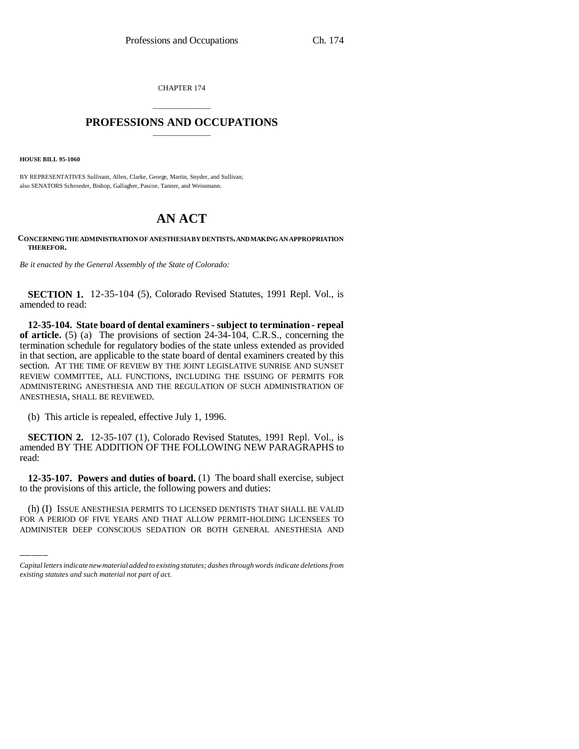CHAPTER 174

## \_\_\_\_\_\_\_\_\_\_\_\_\_\_\_ **PROFESSIONS AND OCCUPATIONS** \_\_\_\_\_\_\_\_\_\_\_\_\_\_\_

**HOUSE BILL 95-1060**

BY REPRESENTATIVES Sullivant, Allen, Clarke, George, Martin, Snyder, and Sullivan; also SENATORS Schroeder, Bishop, Gallagher, Pascoe, Tanner, and Weissmann.

## **AN ACT**

## **CONCERNING THE ADMINISTRATION OF ANESTHESIA BY DENTISTS, AND MAKING AN APPROPRIATION THEREFOR.**

*Be it enacted by the General Assembly of the State of Colorado:*

**SECTION 1.** 12-35-104 (5), Colorado Revised Statutes, 1991 Repl. Vol., is amended to read:

**12-35-104. State board of dental examiners - subject to termination - repeal of article.** (5) (a) The provisions of section 24-34-104, C.R.S., concerning the termination schedule for regulatory bodies of the state unless extended as provided in that section, are applicable to the state board of dental examiners created by this section. AT THE TIME OF REVIEW BY THE JOINT LEGISLATIVE SUNRISE AND SUNSET REVIEW COMMITTEE, ALL FUNCTIONS, INCLUDING THE ISSUING OF PERMITS FOR ADMINISTERING ANESTHESIA AND THE REGULATION OF SUCH ADMINISTRATION OF ANESTHESIA, SHALL BE REVIEWED.

(b) This article is repealed, effective July 1, 1996.

**SECTION 2.** 12-35-107 (1), Colorado Revised Statutes, 1991 Repl. Vol., is amended BY THE ADDITION OF THE FOLLOWING NEW PARAGRAPHS to read:

to the provisions of this article, the following powers and duties: **12-35-107. Powers and duties of board.** (1) The board shall exercise, subject

(h) (I) ISSUE ANESTHESIA PERMITS TO LICENSED DENTISTS THAT SHALL BE VALID FOR A PERIOD OF FIVE YEARS AND THAT ALLOW PERMIT-HOLDING LICENSEES TO ADMINISTER DEEP CONSCIOUS SEDATION OR BOTH GENERAL ANESTHESIA AND

*Capital letters indicate new material added to existing statutes; dashes through words indicate deletions from existing statutes and such material not part of act.*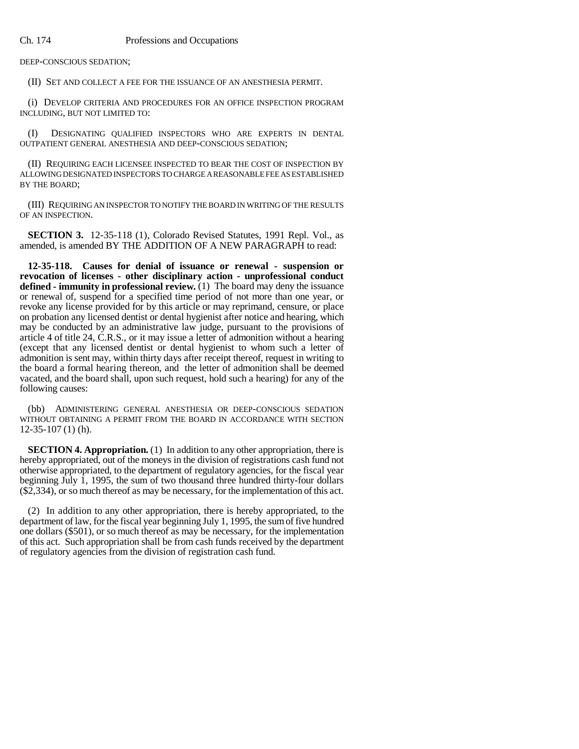DEEP-CONSCIOUS SEDATION;

(II) SET AND COLLECT A FEE FOR THE ISSUANCE OF AN ANESTHESIA PERMIT.

(i) DEVELOP CRITERIA AND PROCEDURES FOR AN OFFICE INSPECTION PROGRAM INCLUDING, BUT NOT LIMITED TO:

(I) DESIGNATING QUALIFIED INSPECTORS WHO ARE EXPERTS IN DENTAL OUTPATIENT GENERAL ANESTHESIA AND DEEP-CONSCIOUS SEDATION;

(II) REQUIRING EACH LICENSEE INSPECTED TO BEAR THE COST OF INSPECTION BY ALLOWING DESIGNATED INSPECTORS TO CHARGE A REASONABLE FEE AS ESTABLISHED BY THE BOARD;

(III) REQUIRING AN INSPECTOR TO NOTIFY THE BOARD IN WRITING OF THE RESULTS OF AN INSPECTION.

**SECTION 3.** 12-35-118 (1), Colorado Revised Statutes, 1991 Repl. Vol., as amended, is amended BY THE ADDITION OF A NEW PARAGRAPH to read:

**12-35-118. Causes for denial of issuance or renewal - suspension or revocation of licenses - other disciplinary action - unprofessional conduct defined - immunity in professional review.** (1) The board may deny the issuance or renewal of, suspend for a specified time period of not more than one year, or revoke any license provided for by this article or may reprimand, censure, or place on probation any licensed dentist or dental hygienist after notice and hearing, which may be conducted by an administrative law judge, pursuant to the provisions of article 4 of title 24, C.R.S., or it may issue a letter of admonition without a hearing (except that any licensed dentist or dental hygienist to whom such a letter of admonition is sent may, within thirty days after receipt thereof, request in writing to the board a formal hearing thereon, and the letter of admonition shall be deemed vacated, and the board shall, upon such request, hold such a hearing) for any of the following causes:

(bb) ADMINISTERING GENERAL ANESTHESIA OR DEEP-CONSCIOUS SEDATION WITHOUT OBTAINING A PERMIT FROM THE BOARD IN ACCORDANCE WITH SECTION 12-35-107 (1) (h).

**SECTION 4. Appropriation.** (1) In addition to any other appropriation, there is hereby appropriated, out of the moneys in the division of registrations cash fund not otherwise appropriated, to the department of regulatory agencies, for the fiscal year beginning July 1, 1995, the sum of two thousand three hundred thirty-four dollars (\$2,334), or so much thereof as may be necessary, for the implementation of this act.

(2) In addition to any other appropriation, there is hereby appropriated, to the department of law, for the fiscal year beginning July 1, 1995, the sum of five hundred one dollars (\$501), or so much thereof as may be necessary, for the implementation of this act. Such appropriation shall be from cash funds received by the department of regulatory agencies from the division of registration cash fund.